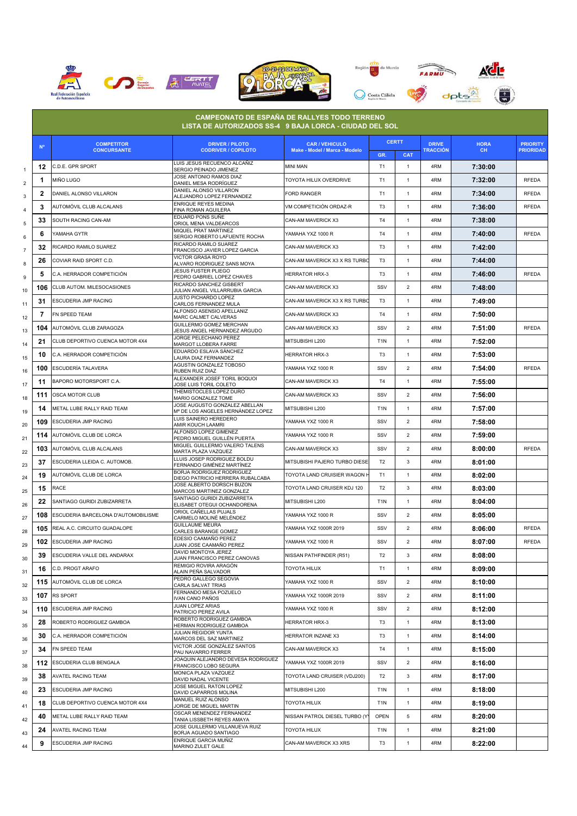







|                |             |                                         | <b>CAMPEONATO DE ESPAÑA DE RALLYES TODO TERRENO</b><br>LISTA DE AUTORIZADOS SS-4 9 BAJA LORCA - CIUDAD DEL SOL |                                                        | <b>CERTT</b>          |                 |                                 |                    |                                     |
|----------------|-------------|-----------------------------------------|----------------------------------------------------------------------------------------------------------------|--------------------------------------------------------|-----------------------|-----------------|---------------------------------|--------------------|-------------------------------------|
|                | $N^{\circ}$ | <b>COMPETITOR</b><br><b>CONCURSANTE</b> | <b>DRIVER / PILOTO</b><br><b>CODRIVER / COPILOTO</b>                                                           | <b>CAR / VEHICULO</b><br>Make - Model / Marca - Modelo |                       |                 | <b>DRIVE</b><br><b>TRACCIÓN</b> | <b>HORA</b><br>CH. | <b>PRIORITY</b><br><b>PRIORIDAD</b> |
|                | 12          | C.D.E. GPR SPORT                        | LUIS JESUS RECUENCO ALCAÑIZ                                                                                    | MINI MAN                                               | GR.<br>T <sub>1</sub> | <b>CAT</b><br>1 | 4RM                             | 7:30:00            |                                     |
| 1              | 1           | miño lugo                               | SERGIO PEINADO JIMENEZ<br>JOSE ANTONIO RAMOS DIAZ                                                              | TOYOTA HILUX OVERDRIVE                                 | T <sub>1</sub>        | $\mathbf{1}$    | 4RM                             | 7:32:00            | <b>RFEDA</b>                        |
| 2              | 2           | DANIEL ALONSO VILLARON                  | DANIEL MESA RODRÍGUEZ<br>DANIEL ALONSO VILLARON                                                                | FORD RANGER                                            | T <sub>1</sub>        | $\mathbf{1}$    | 4RM                             | 7:34:00            | <b>RFEDA</b>                        |
| 3              | 3           | AUTOMÓVIL CLUB ALCALANS                 | ALEJANDRO LOPEZ FERNANDEZ<br>ENRIQUE REYES MEDINA                                                              | VM COMPETICIÓN ORDAZ-R                                 | T <sub>3</sub>        | $\mathbf{1}$    | 4RM                             | 7:36:00            | <b>RFEDA</b>                        |
| 4              | 33          | SOUTH RACING CAN-AM                     | FINA ROMAN AGUILERA<br>EDUARD PONS SUÑE                                                                        | CAN-AM MAVERICK X3                                     | T <sub>4</sub>        | $\mathbf{1}$    | 4RM                             |                    |                                     |
| 5              |             |                                         | ORIOL MENA VALDEARCOS<br>MIQUEL PRAT MARTINEZ                                                                  | YAMAHA YXZ 1000 R                                      |                       |                 |                                 | 7:38:00            |                                     |
| 6              | 6           | YAMAHA GYTR                             | SERGIO ROBERTO LAFUENTE ROCHA<br>RICARDO RAMILO SUAREZ                                                         |                                                        | T <sub>4</sub>        | $\mathbf{1}$    | 4RM                             | 7:40:00            | <b>RFEDA</b>                        |
| $\overline{7}$ | 32          | RICARDO RAMILO SUAREZ                   | FRANCISCO JAVIER LOPEZ GARCIA<br>VICTOR GRASA ROYO                                                             | CAN-AM MAVERICK X3                                     | T <sub>3</sub>        | $\mathbf{1}$    | 4RM                             | 7:42:00            |                                     |
| 8              | 26          | COVIAR RAID SPORT C.D.                  | ALVARO RODRIGUEZ SANS MOYA<br>JESUS FUSTER PLIEGO                                                              | CAN-AM MAVERICK X3 X RS TURBC                          | T <sub>3</sub>        | $\mathbf{1}$    | 4RM                             | 7:44:00            |                                     |
| 9              | 5           | C.A. HERRADOR COMPETICIÓN               | PEDRO GABRIEL LOPEZ CHAVES<br>RICARDO SANCHEZ GISBERT                                                          | HERRATOR HRX-3                                         | T <sub>3</sub>        | $\mathbf{1}$    | 4RM                             | 7:46:00            | <b>RFEDA</b>                        |
| 10             | 106         | CLUB AUTOM. MILESOCASIONES              | JULIAN ANGEL VILLARRUBIA GARCIA                                                                                | CAN-AM MAVERICK X3                                     | SSV                   | $\overline{2}$  | 4RM                             | 7:48:00            |                                     |
| 11             | 31          | ESCUDERIA JMP RACING                    | JUSTO PICHARDO LOPEZ<br>CARLOS FERNANDEZ MULA                                                                  | CAN-AM MAVERICK X3 X RS TURBC                          | T <sub>3</sub>        | 1               | 4RM                             | 7:49:00            |                                     |
| 12             | 7           | FN SPEED TEAM                           | ALFONSO ASENSIO APELLANIZ<br>MARC CALMET CALVERAS                                                              | CAN-AM MAVERICK X3                                     | T <sub>4</sub>        | $\mathbf{1}$    | 4RM                             | 7:50:00            |                                     |
| 13             | 104         | AUTOMÓVIL CLUB ZARAGOZA                 | GUILLERMO GOMEZ MERCHAN<br>JESUS ANGEL HERNANDEZ ARGUDO                                                        | CAN-AM MAVERICK X3                                     | SSV                   | $\overline{2}$  | 4RM                             | 7:51:00            | <b>RFEDA</b>                        |
| 14             | 21          | CLUB DEPORTIVO CUENCA MOTOR 4X4         | JORGE PELECHANO PEREZ<br><b>MARGOT LLOBERA FARRE</b>                                                           | MITSUBISHI L200                                        | T <sub>1</sub> N      | 1               | 4RM                             | 7:52:00            |                                     |
| 15             | 10          | C.A. HERRADOR COMPETICIÓN               | EDUARDO ESLAVA SÁNCHEZ<br>AURA DIAZ FERNANDEZ                                                                  | <b>HERRATOR HRX-3</b>                                  | T <sub>3</sub>        | 1               | 4RM                             | 7:53:00            |                                     |
| 16             | 100         | ESCUDERÍA TALAVERA                      | AGUSTIN GONZALEZ TOBOSO<br>RUBEN RUIZ DIAZ                                                                     | YAMAHA YXZ 1000 R                                      | SSV                   | $\overline{2}$  | 4RM                             | 7:54:00            | RFEDA                               |
| 17             | 11          | BAPORO MOTORSPORT C.A.                  | ALEXANDER JOSEF TORIL BOQUOI<br>JOSE LUIS TORIL COLETO                                                         | CAN-AM MAVERICK X3                                     | T <sub>4</sub>        | $\mathbf{1}$    | 4RM                             | 7:55:00            |                                     |
| 18             | 111         | OSCA MOTOR CLUB                         | THEMISTOCLES LOPEZ DURO<br>MARIO GONZALEZ TOME                                                                 | CAN-AM MAVERICK X3                                     | SSV                   | $\overline{2}$  | 4RM                             | 7:56:00            |                                     |
| 19             | 14          | METAL LUBE RALLY RAID TEAM              | JOSE AUGUSTO GONZALEZ ABELLAN<br>Mª DE LOS ANGELES HERNÁNDEZ LOPEZ                                             | MITSUBISHI L200                                        | T <sub>1</sub> N      | $\mathbf{1}$    | 4RM                             | 7:57:00            |                                     |
| 20             | 109         | ESCUDERIA JMP RACING                    | <b>LUIS SAINERO HEREDERO</b><br>AMIR KOUCH LAAMRI                                                              | YAMAHA YXZ 1000 R                                      | SSV                   | $\overline{2}$  | 4RM                             | 7:58:00            |                                     |
| 21             | 114         | AUTOMÓVIL CLUB DE LORCA                 | ALFONSO LOPEZ GIMENEZ<br>PEDRO MIGUEL GUILLÉN PUERTA                                                           | YAMAHA YXZ 1000 R                                      | SSV                   | $\overline{2}$  | 4RM                             | 7:59:00            |                                     |
| 22             | 103         | AUTOMÓVIL CLUB ALCALANS                 | MIGUEL GUILLERMO VALERO TALENS                                                                                 | CAN-AM MAVERICK X3                                     | SSV                   | $\overline{2}$  | 4RM                             | 8:00:00            | <b>RFEDA</b>                        |
|                | 37          | ESCUDERIA LLEIDA C. AUTOMOB.            | MARTA PLAZA VAZQUEZ<br>LLUIS JOSEP RODRIGUEZ BOLDU                                                             | MITSUBISHI PAJERO TURBO DIESE                          | T <sub>2</sub>        | 3               | 4RM                             | 8:01:00            |                                     |
| 23             | 19          | AUTOMÓVIL CLUB DE LORCA                 | FERNANDO GIMÉNEZ MARTÍNEZ<br>BORJA RODRIGUEZ RODRIGUEZ                                                         | TOYOTA LAND CRUISIER WAGON                             | T1                    | 1               | 4RM                             | 8:02:00            |                                     |
| 24             | 15          | RACE                                    | DIEGO PATRICIO HERRERA RUBALCABA<br>JOSE ALBERTO DORSCH BUZON                                                  | TOYOTA LAND CRUISER KDJ 120                            | T <sub>2</sub>        | 3               | 4RM                             | 8:03:00            |                                     |
| 25             | 22          | SANTIAGO GURIDI ZUBIZARRETA             | MARCOS MARTINEZ GONZALEZ<br>SANTIAGO GURIDI ZUBIZARRETA                                                        | MITSUBISHI L200                                        | T <sub>1</sub> N      | $\mathbf{1}$    | 4RM                             | 8:04:00            |                                     |
| 26             | 108         | ESCUDERIA BARCELONA D'AUTOMOBILISME     | ELISABET OTEGUI OCHANDORENA<br>ORIOL CAÑELLAS PUJALS                                                           | YAMAHA YXZ 1000 R                                      | SSV                   | $\overline{2}$  | 4RM                             | 8:05:00            |                                     |
| 27             | 105         | REAL A.C. CIRCUITO GUADALOPE            | CARMELO MOLINÉ MELÉNDEZ<br><b>GUILLAUME MEURA</b>                                                              | YAMAHA YXZ 1000R 2019                                  | SSV                   | $\overline{2}$  | 4RM                             | 8:06:00            | <b>RFEDA</b>                        |
| 28             | 102         | ESCUDERIA JMP RACING                    | CARLES BARANGE GOMEZ<br>EDESIO CAAMAÑO PEREZ                                                                   | YAMAHA YXZ 1000 R                                      | SSV                   | $\overline{2}$  | 4RM                             | 8:07:00            | <b>RFEDA</b>                        |
| 29             | 39          | ESCUDERIA VALLE DEL ANDARAX             | JUAN JOSE CAAMAÑO PEREZ<br>DAVID MONTOYA JEREZ                                                                 | NISSAN PATHFINDER (R51)                                | T <sub>2</sub>        | 3               | 4RM                             | 8:08:00            |                                     |
| 30             |             | C.D. PROGT ARAFO                        | JUAN FRANCISCO PEREZ CANOVAS<br>REMIGIO ROVIRA ARAGÓN                                                          | TOYOTA HILUX                                           | T <sub>1</sub>        | $\mathbf{1}$    | 4RM                             |                    |                                     |
| 31             | 16          | AUTOMÓVIL CLUB DE LORCA                 | ALAIN PEÑA SALVADOR<br>PEDRO GALLEGO SEGOVIA                                                                   | YAMAHA YXZ 1000 R                                      | SSV                   | $\overline{2}$  | 4RM                             | 8:09:00            |                                     |
| 32             | 115         |                                         | CARLA SALVAT TRIAS<br>FERNANDO MESA POZUELO                                                                    |                                                        |                       |                 |                                 | 8:10:00            |                                     |
| 33             | 107         | RS SPORT                                | IVAN CANO PAÑOS<br>JUAN LOPEZ ARIAS                                                                            | YAMAHA YXZ 1000R 2019                                  | SSV                   | $\overline{2}$  | 4RM                             | 8:11:00            |                                     |
| 34             | 110         | <b>ESCUDERIA JMP RACING</b>             | PATRICIO PEREZ AVILA<br>ROBERTO RODRIGUEZ GAMBOA                                                               | YAMAHA YXZ 1000 R                                      | SSV                   | $\overline{2}$  | 4RM                             | 8:12:00            |                                     |
| 35             | 28          | ROBERTO RODRIGUEZ GAMBOA                | HERMAN RODRIGUEZ GAMBOA<br><b>JULIAN REGIDOR YUNTA</b>                                                         | <b>HERRATOR HRX-3</b>                                  | T <sub>3</sub>        | $\mathbf{1}$    | 4RM                             | 8:13:00            |                                     |
| 36             | 30          | C.A. HERRADOR COMPETICIÓN               | MARCOS DEL SAZ MARTINEZ<br>VICTOR JOSE GONZÁLEZ SANTOS                                                         | HERRATOR INZANE X3                                     | T <sub>3</sub>        | $\mathbf{1}$    | 4RM                             | 8:14:00            |                                     |
| 37             | 34          | FN SPEED TEAM                           | PAU NAVARRO FERRER                                                                                             | CAN-AM MAVERICK X3                                     | T <sub>4</sub>        | 1               | 4RM                             | 8:15:00            |                                     |
| 38             | 112         | ESCUDERIA CLUB BENGALA                  | JOAQUIN ALEJANDRO DEVESA RODRIGUEZ<br>FRANCISCO LOBO SEGURA                                                    | YAMAHA YXZ 1000R 2019                                  | SSV                   | $\overline{2}$  | 4RM                             | 8:16:00            |                                     |
| 39             | 38          | <b>AVATEL RACING TEAM</b>               | MONICA PLAZA VAZQUEZ<br>DAVID NADAL VICENTE                                                                    | TOYOTA LAND CRUISER (VDJ200)                           | T <sub>2</sub>        | $\mathbf{3}$    | 4RM                             | 8:17:00            |                                     |
| 40             | 23          | ESCUDERIA JMP RACING                    | JOSE MIGUEL RATON LOPEZ<br>DAVID CAPARROS MOLINA                                                               | MITSUBISHI L200                                        | T <sub>1</sub> N      | $\mathbf{1}$    | 4RM                             | 8:18:00            |                                     |
| 41             | 18          | CLUB DEPORTIVO CUENCA MOTOR 4X4         | MANUEL RUIZ ALONSO<br>JORGE DE MIGUEL MARTIN                                                                   | TOYOTA HILUX                                           | T <sub>1</sub> N      | 1               | 4RM                             | 8:19:00            |                                     |
| 42             | 40          | METAL LUBE RALLY RAID TEAM              | OSCAR MENENDEZ FERNANDEZ<br>TANIA LISSBETH REYES AMAYA                                                         | NISSAN PATROL DIESEL TURBO (Y                          | OPEN                  | 5               | 4RM                             | 8:20:00            |                                     |
| 43             | 24          | <b>AVATEL RACING TEAM</b>               | JOSE GUILLERMO VILLANUEVA RUIZ<br>BORJA AGUADO SANTIAGO                                                        | <b>TOYOTA HILUX</b>                                    | T <sub>1</sub> N      | $\mathbf{1}$    | 4RM                             | 8:21:00            |                                     |
| 44             | 9           | ESCUDERIA JMP RACING                    | ENRIQUE GARCIA MUÑIZ<br>MARINO ZULET GALE                                                                      | CAN-AM MAVERICK X3 XRS                                 | T <sub>3</sub>        | 1               | 4RM                             | 8:22:00            |                                     |